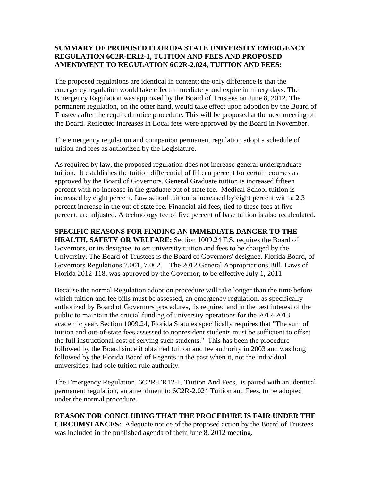## **SUMMARY OF [PROPOSED FLORIDA STATE UNIVERSITY EMERGENCY](http://www.fsu.edu/rd2005/gencounsel/notices/summary/6c2-4.071.html)  REGULATION [6C2R-ER12-1, TUITION AND FEES AND PROPOSED](http://www.fsu.edu/rd2005/gencounsel/notices/summary/6c2-4.071.html)  [AMENDMENT TO REGULATION 6C2R-2.024, TUITION](http://www.fsu.edu/rd2005/gencounsel/notices/summary/6c2-4.071.html) AND FEES:**

The proposed regulations are identical in content; the only difference is that the emergency regulation would take effect immediately and expire in ninety days. The Emergency Regulation was approved by the Board of Trustees on June 8, 2012. The permanent regulation, on the other hand, would take effect upon adoption by the Board of Trustees after the required notice procedure. This will be proposed at the next meeting of the Board. Reflected increases in Local fees were approved by the Board in November.

The emergency regulation and companion permanent regulation adopt a schedule of tuition and fees as authorized by the Legislature.

As required by law, the proposed regulation does not increase general undergraduate tuition. It establishes the tuition differential of fifteen percent for certain courses as approved by the Board of Governors. General Graduate tuition is increased fifteen percent with no increase in the graduate out of state fee. Medical School tuition is increased by eight percent. Law school tuition is increased by eight percent with a 2.3 percent increase in the out of state fee. Financial aid fees, tied to these fees at five percent, are adjusted. A technology fee of five percent of base tuition is also recalculated.

## **SPECIFIC REASONS FOR FINDING AN IMMEDIATE DANGER TO THE**

**HEALTH, SAFETY OR WELFARE:** Section 1009.24 F.S. requires the Board of Governors, or its designee, to set university tuition and fees to be charged by the University. The Board of Trustees is the Board of Governors' designee. Florida Board, of Governors Regulations 7.001, 7.002. The 2012 General Appropriations Bill, Laws of Florida 2012-118, was approved by the Governor, to be effective July 1, 2011

Because the normal Regulation adoption procedure will take longer than the time before which tuition and fee bills must be assessed, an emergency regulation, as specifically authorized by Board of Governors procedures, is required and in the best interest of the public to maintain the crucial funding of university operations for the 2012-2013 academic year. Section 1009.24, Florida Statutes specifically requires that "The sum of tuition and out-of-state fees assessed to nonresident students must be sufficient to offset the full instructional cost of serving such students." This has been the procedure followed by the Board since it obtained tuition and fee authority in 2003 and was long followed by the Florida Board of Regents in the past when it, not the individual universities, had sole tuition rule authority.

The Emergency Regulation, 6C2R-ER12-1, Tuition And Fees, is paired with an identical permanent regulation, an amendment to 6C2R-2.024 Tuition and Fees, to be adopted under the normal procedure.

**REASON FOR CONCLUDING THAT THE PROCEDURE IS FAIR UNDER THE CIRCUMSTANCES:** Adequate notice of the proposed action by the Board of Trustees was included in the published agenda of their June 8, 2012 meeting.